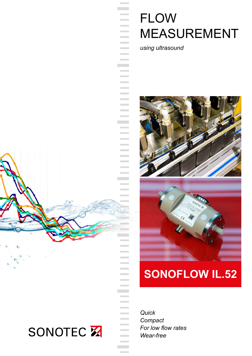# **FLOW MEASUREMENT**

*using ultrasound*

**Contract Contract Contract Contract** 

 $\sim$ 

**Contract Contract Contract Contract Contract Contract Contract** 

**Contract Contract Contract Contract Contract** 

**Contract** 

**Contract Contract** 

**Contract Contract** 

**Contract Contract** 



## **SONOFLOW IL.52**

*Quick Compact For low flow rates Wear-free*